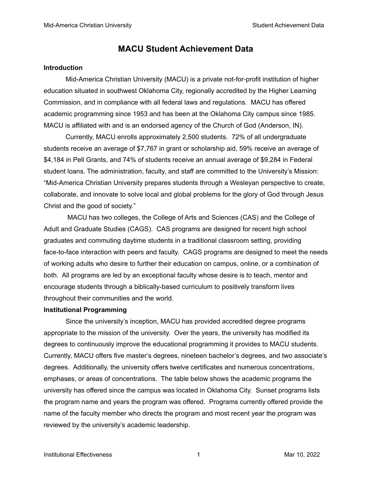### **MACU Student Achievement Data**

#### **Introduction**

Mid-America Christian University (MACU) is a private not-for-profit institution of higher education situated in southwest Oklahoma City, regionally accredited by the Higher Learning Commission, and in compliance with all federal laws and regulations. MACU has offered academic programming since 1953 and has been at the Oklahoma City campus since 1985. MACU is affiliated with and is an endorsed agency of the Church of God (Anderson, IN).

Currently, MACU enrolls approximately 2,500 students. 72% of all undergraduate students receive an average of \$7,767 in grant or scholarship aid, 59% receive an average of \$4,184 in Pell Grants, and 74% of students receive an annual average of \$9,284 in Federal student loans. The administration, faculty, and staff are committed to the University's Mission: "Mid-America Christian University prepares students through a Wesleyan perspective to create, collaborate, and innovate to solve local and global problems for the glory of God through Jesus Christ and the good of society."

MACU has two colleges, the College of Arts and Sciences (CAS) and the College of Adult and Graduate Studies (CAGS). CAS programs are designed for recent high school graduates and commuting daytime students in a traditional classroom setting, providing face-to-face interaction with peers and faculty. CAGS programs are designed to meet the needs of working adults who desire to further their education on campus, online, or a combination of both. All programs are led by an exceptional faculty whose desire is to teach, mentor and encourage students through a biblically-based curriculum to positively transform lives throughout their communities and the world.

#### **Institutional Programming**

Since the university's inception, MACU has provided accredited degree programs appropriate to the mission of the university. Over the years, the university has modified its degrees to continuously improve the educational programming it provides to MACU students. Currently, MACU offers five master's degrees, nineteen bachelor's degrees, and two associate's degrees. Additionally, the university offers twelve certificates and numerous concentrations, emphases, or areas of concentrations. The table below shows the academic programs the university has offered since the campus was located in Oklahoma City. Sunset programs lists the program name and years the program was offered. Programs currently offered provide the name of the faculty member who directs the program and most recent year the program was reviewed by the university's academic leadership.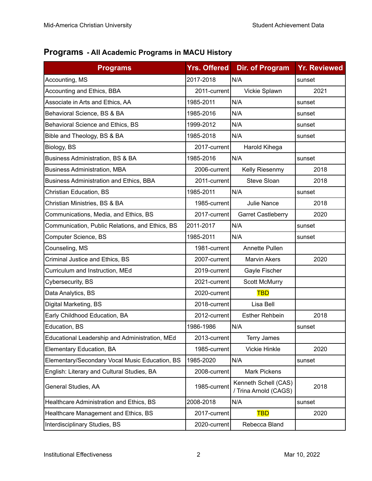## **Programs - All Academic Programs in MACU History**

| <b>Programs</b>                                 | <b>Yrs. Offered</b> | <b>Dir. of Program</b>                        | <b>Yr. Reviewed</b> |
|-------------------------------------------------|---------------------|-----------------------------------------------|---------------------|
| Accounting, MS                                  | 2017-2018           | N/A                                           | sunset              |
| Accounting and Ethics, BBA                      | 2011-current        | Vickie Splawn                                 | 2021                |
| Associate in Arts and Ethics, AA                | 1985-2011           | N/A                                           | sunset              |
| Behavioral Science, BS & BA                     | 1985-2016           | N/A                                           | sunset              |
| Behavioral Science and Ethics, BS               | 1999-2012           | N/A                                           | sunset              |
| Bible and Theology, BS & BA                     | 1985-2018           | N/A                                           | sunset              |
| Biology, BS                                     | 2017-current        | Harold Kihega                                 |                     |
| <b>Business Administration, BS &amp; BA</b>     | 1985-2016           | N/A                                           | sunset              |
| <b>Business Administration, MBA</b>             | 2006-current        | Kelly Riesenmy                                | 2018                |
| <b>Business Administration and Ethics, BBA</b>  | 2011-current        | Steve Sloan                                   | 2018                |
| Christian Education, BS                         | 1985-2011           | N/A                                           | sunset              |
| Christian Ministries, BS & BA                   | 1985-current        | <b>Julie Nance</b>                            | 2018                |
| Communications, Media, and Ethics, BS           | 2017-current        | <b>Garret Castleberry</b>                     | 2020                |
| Communication, Public Relations, and Ethics, BS | 2011-2017           | N/A                                           | sunset              |
| Computer Science, BS                            | 1985-2011           | N/A                                           | sunset              |
| Counseling, MS                                  | 1981-current        | <b>Annette Pullen</b>                         |                     |
| Criminal Justice and Ethics, BS                 | 2007-current        | <b>Marvin Akers</b>                           | 2020                |
| Curriculum and Instruction, MEd                 | 2019-current        | Gayle Fischer                                 |                     |
| Cybersecurity, BS                               | 2021-current        | <b>Scott McMurry</b>                          |                     |
| Data Analytics, BS                              | 2020-current        | <b>TBD</b>                                    |                     |
| Digital Marketing, BS                           | 2018-current        | Lisa Bell                                     |                     |
| Early Childhood Education, BA                   | 2012-current        | <b>Esther Rehbein</b>                         | 2018                |
| Education, BS                                   | 1986-1986           | N/A                                           | sunset              |
| Educational Leadership and Administration, MEd  | 2013-current        | Terry James                                   |                     |
| Elementary Education, BA                        | 1985-current        | <b>Vickie Hinkle</b>                          | 2020                |
| Elementary/Secondary Vocal Music Education, BS  | 1985-2020           | N/A                                           | sunset              |
| English: Literary and Cultural Studies, BA      | 2008-current        | <b>Mark Pickens</b>                           |                     |
| General Studies, AA                             | 1985-current        | Kenneth Schell (CAS)<br>/ Trina Arnold (CAGS) | 2018                |
| Healthcare Administration and Ethics, BS        | 2008-2018           | N/A                                           | sunset              |
| Healthcare Management and Ethics, BS            | 2017-current        | <b>TBD</b>                                    | 2020                |
| Interdisciplinary Studies, BS                   | 2020-current        | Rebecca Bland                                 |                     |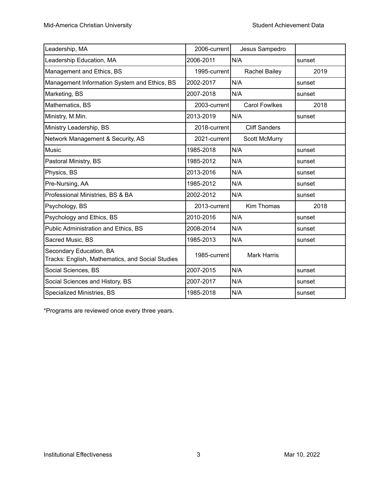| Leadership, MA                                                              | 2006-current | Jesus Sampedro       |        |
|-----------------------------------------------------------------------------|--------------|----------------------|--------|
| Leadership Education, MA                                                    | 2006-2011    | N/A                  | sunset |
| Management and Ethics, BS                                                   | 1995-current | <b>Rachel Bailey</b> | 2019   |
| Management Information System and Ethics, BS                                | 2002-2017    | N/A                  | sunset |
| Marketing, BS                                                               | 2007-2018    | N/A                  | sunset |
| Mathematics, BS                                                             | 2003-current | <b>Carol Fowlkes</b> | 2018   |
| Ministry, M.Min.                                                            | 2013-2019    | N/A                  | sunset |
| Ministry Leadership, BS                                                     | 2018-current | <b>Cliff Sanders</b> |        |
| Network Management & Security, AS                                           | 2021-current | <b>Scott McMurry</b> |        |
| <b>Music</b>                                                                | 1985-2018    | N/A                  | sunset |
| Pastoral Ministry, BS                                                       | 1985-2012    | N/A                  | sunset |
| Physics, BS                                                                 | 2013-2016    | N/A                  | sunset |
| Pre-Nursing, AA                                                             | 1985-2012    | N/A                  | sunset |
| Professional Ministries, BS & BA                                            | 2002-2012    | N/A                  | sunset |
| Psychology, BS                                                              | 2013-current | Kim Thomas           | 2018   |
| Psychology and Ethics, BS                                                   | 2010-2016    | N/A                  | sunset |
| Public Administration and Ethics, BS                                        | 2008-2014    | N/A                  | sunset |
| Sacred Music, BS                                                            | 1985-2013    | N/A                  | sunset |
| Secondary Education, BA<br>Tracks: English, Mathematics, and Social Studies | 1985-current | <b>Mark Harris</b>   |        |
| Social Sciences, BS                                                         | 2007-2015    | N/A                  | sunset |
| Social Sciences and History, BS                                             | 2007-2017    | N/A                  | sunset |
| Specialized Ministries, BS                                                  | 1985-2018    | N/A                  | sunset |

\*Programs are reviewed once every three years.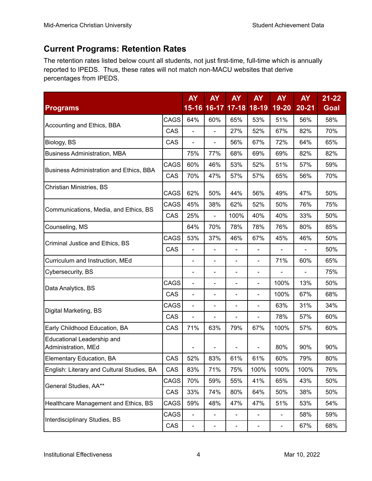## **Current Programs: Retention Rates**

The retention rates listed below count all students, not just first-time, full-time which is annually reported to IPEDS. Thus, these rates will not match non-MACU websites that derive percentages from IPEDS.

|                                                          |             | <b>AY</b>                | <b>AY</b>                | <b>AY</b>                | <b>AY</b>                | <b>AY</b>                    | <b>AY</b>      | $21 - 22$   |
|----------------------------------------------------------|-------------|--------------------------|--------------------------|--------------------------|--------------------------|------------------------------|----------------|-------------|
| <b>Programs</b>                                          |             |                          | 15-16 16-17              | $17 - 18$                | 18-19                    | 19-20                        | $20 - 21$      | <b>Goal</b> |
| Accounting and Ethics, BBA                               | CAGS        | 64%                      | 60%                      | 65%                      | 53%                      | 51%                          | 56%            | 58%         |
|                                                          | CAS         | $\blacksquare$           | $\overline{\phantom{0}}$ | 27%                      | 52%                      | 67%                          | 82%            | 70%         |
| Biology, BS                                              | CAS         | $\blacksquare$           | ÷,                       | 56%                      | 67%                      | 72%                          | 64%            | 65%         |
| <b>Business Administration, MBA</b>                      |             | 75%                      | 77%                      | 68%                      | 69%                      | 69%                          | 82%            | 82%         |
| Business Administration and Ethics, BBA                  | <b>CAGS</b> | 60%                      | 46%                      | 53%                      | 52%                      | 51%                          | 57%            | 59%         |
|                                                          | CAS         | 70%                      | 47%                      | 57%                      | 57%                      | 65%                          | 56%            | 70%         |
| Christian Ministries, BS                                 | <b>CAGS</b> | 62%                      | 50%                      | 44%                      | 56%                      | 49%                          | 47%            | 50%         |
| Communications, Media, and Ethics, BS                    | CAGS        | 45%                      | 38%                      | 62%                      | 52%                      | 50%                          | 76%            | 75%         |
|                                                          | CAS         | 25%                      | $\blacksquare$           | 100%                     | 40%                      | 40%                          | 33%            | 50%         |
| Counseling, MS                                           |             | 64%                      | 70%                      | 78%                      | 78%                      | 76%                          | 80%            | 85%         |
| Criminal Justice and Ethics, BS                          |             | 53%                      | 37%                      | 46%                      | 67%                      | 45%                          | 46%            | 50%         |
|                                                          | CAS         | $\blacksquare$           | $\blacksquare$           | L,                       | $\overline{\phantom{0}}$ |                              |                | 50%         |
| Curriculum and Instruction, MEd                          |             | $\blacksquare$           | $\overline{\phantom{0}}$ | $\overline{a}$           | $\blacksquare$           | 71%                          | 60%            | 65%         |
| Cybersecurity, BS                                        |             | $\blacksquare$           | $\blacksquare$           | L,                       | $\overline{\phantom{0}}$ | $\blacksquare$               | $\overline{a}$ | 75%         |
| <b>CAGS</b><br>Data Analytics, BS                        |             | $\blacksquare$           | $\overline{\phantom{a}}$ | $\overline{\phantom{0}}$ | $\blacksquare$           | 100%                         | 13%            | 50%         |
|                                                          | CAS         | $\blacksquare$           | $\overline{\phantom{a}}$ | $\overline{a}$           | $\blacksquare$           | 100%<br>67%                  |                | 68%         |
| CAGS<br>Digital Marketing, BS                            |             | $\blacksquare$           | $\blacksquare$           | $\overline{a}$           | $\blacksquare$           | 63%                          | 31%            | 34%         |
|                                                          | CAS         | $\frac{1}{2}$            | $\overline{\phantom{0}}$ | $\overline{a}$           | $\blacksquare$           | 78%                          | 57%            | 60%         |
| Early Childhood Education, BA                            | CAS         | 71%                      | 63%                      | 79%                      | 67%                      | 100%                         | 57%            | 60%         |
| <b>Educational Leadership and</b><br>Administration, MEd |             |                          |                          |                          |                          | 80%                          | 90%            | 90%         |
| Elementary Education, BA                                 | CAS         | 52%                      | 83%                      | 61%                      | 61%                      | 60%                          | 79%            | 80%         |
| English: Literary and Cultural Studies, BA               | CAS         | 83%                      | 71%                      | 75%                      | 100%                     | 100%                         | 100%           | 76%         |
|                                                          | CAGS        | 70%                      | 59%                      | 55%                      | 41%                      | 65%                          | 43%            | 50%         |
| General Studies, AA**                                    | CAS         | 33%                      | 74%                      | 80%                      | 64%                      | 50%                          | 38%            | 50%         |
| Healthcare Management and Ethics, BS                     | CAGS        | 59%                      | 48%                      | 47%                      | 47%                      | 51%                          | 53%            | 54%         |
| Interdisciplinary Studies, BS                            | CAGS        | $\frac{1}{2}$            | $\overline{\phantom{0}}$ | -                        | $\frac{1}{2}$            | $\qquad \qquad \blacksquare$ | 58%            | 59%         |
|                                                          |             | $\overline{\phantom{a}}$ | -                        | -                        | $\overline{\phantom{0}}$ | $\overline{\phantom{a}}$     | 67%            | 68%         |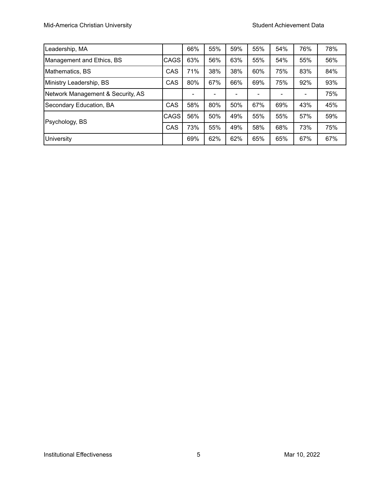| Leadership, MA                           |     | 66% | 55% | 59% | 55% | 54% | 76% | 78% |
|------------------------------------------|-----|-----|-----|-----|-----|-----|-----|-----|
| Management and Ethics, BS<br><b>CAGS</b> |     | 63% | 56% | 63% | 55% | 54% | 55% | 56% |
| Mathematics, BS                          |     | 71% | 38% | 38% | 60% | 75% | 83% | 84% |
| Ministry Leadership, BS                  |     | 80% | 67% | 66% | 69% | 75% | 92% | 93% |
| Network Management & Security, AS        |     |     |     |     |     |     |     | 75% |
| Secondary Education, BA                  |     | 58% | 80% | 50% | 67% | 69% | 43% | 45% |
| Psychology, BS                           |     | 56% | 50% | 49% | 55% | 55% | 57% | 59% |
|                                          | CAS | 73% | 55% | 49% | 58% | 68% | 73% | 75% |
| University                               |     | 69% | 62% | 62% | 65% | 65% | 67% | 67% |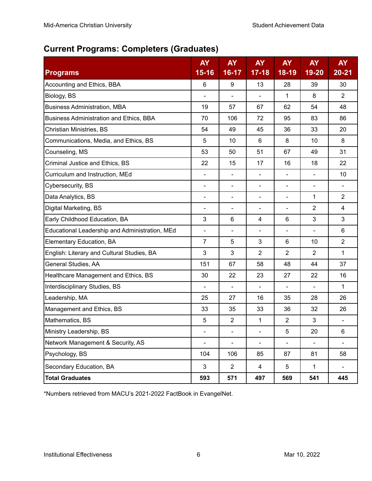## **Current Programs: Completers (Graduates)**

| <b>Programs</b>                                | <b>AY</b><br>$15 - 16$       | <b>AY</b><br>16-17       | <b>AY</b><br>$17 - 18$   | <b>AY</b><br>$18 - 19$   | <b>AY</b><br>19-20           | <b>AY</b><br>$20 - 21$ |
|------------------------------------------------|------------------------------|--------------------------|--------------------------|--------------------------|------------------------------|------------------------|
| Accounting and Ethics, BBA                     | 6                            | 9                        | 13                       | 28                       | 39                           | 30                     |
| Biology, BS                                    |                              |                          |                          | 1                        | 8                            | $\overline{2}$         |
| <b>Business Administration, MBA</b>            | 19                           | 57                       | 67                       | 62                       | 54                           | 48                     |
| Business Administration and Ethics, BBA        | 70                           | 106                      | 72                       | 95                       | 83                           | 86                     |
| <b>Christian Ministries, BS</b>                | 54                           | 49                       | 45                       | 36                       | 33                           | 20                     |
| Communications, Media, and Ethics, BS          | 5                            | 10                       | 6                        | 8                        | 10                           | 8                      |
| Counseling, MS                                 | 53                           | 50                       | 51                       | 67                       | 49                           | 31                     |
| Criminal Justice and Ethics, BS                | 22                           | 15                       | 17                       | 16                       | 18                           | 22                     |
| Curriculum and Instruction, MEd                | $\blacksquare$               | $\blacksquare$           | $\overline{\phantom{a}}$ | $\blacksquare$           | $\blacksquare$               | 10                     |
| Cybersecurity, BS                              | $\overline{\phantom{a}}$     | $\overline{\phantom{a}}$ | $\overline{\phantom{a}}$ | $\overline{\phantom{a}}$ | $\qquad \qquad \blacksquare$ | $\blacksquare$         |
| Data Analytics, BS                             | $\overline{\phantom{a}}$     | $\blacksquare$           | $\blacksquare$           | $\overline{\phantom{a}}$ | 1                            | $\overline{2}$         |
| Digital Marketing, BS                          | $\overline{\phantom{a}}$     | $\blacksquare$           | $\overline{\phantom{0}}$ |                          | $\overline{2}$               | $\overline{4}$         |
| Early Childhood Education, BA                  | 3                            | 6                        | 4                        | 6                        | 3                            | 3                      |
| Educational Leadership and Administration, MEd | $\overline{\phantom{a}}$     | $\overline{\phantom{a}}$ |                          |                          |                              | 6                      |
| Elementary Education, BA                       | $\overline{7}$               | 5                        | 3                        | 6                        | 10                           | $\overline{2}$         |
| English: Literary and Cultural Studies, BA     | 3                            | 3                        | $\overline{2}$           | $\overline{2}$           | $\overline{2}$               | $\mathbf{1}$           |
| General Studies, AA                            | 151                          | 67                       | 58                       | 48                       | 44                           | 37                     |
| Healthcare Management and Ethics, BS           | 30                           | 22                       | 23                       | 27                       | 22                           | 16                     |
| Interdisciplinary Studies, BS                  | $\overline{\phantom{a}}$     | $\overline{\phantom{a}}$ | $\overline{\phantom{a}}$ | $\overline{\phantom{a}}$ | $\overline{\phantom{a}}$     | 1                      |
| Leadership, MA                                 | 25                           | 27                       | 16                       | 35                       | 28                           | 26                     |
| Management and Ethics, BS                      | 33                           | 35                       | 33                       | 36                       | 32                           | 26                     |
| Mathematics, BS                                | 5                            | $\overline{2}$           | 1                        | $\overline{2}$           | 3                            | $\blacksquare$         |
| Ministry Leadership, BS                        | $\qquad \qquad \blacksquare$ | $\blacksquare$           | $\blacksquare$           | 5                        | 20                           | 6                      |
| Network Management & Security, AS              | $\blacksquare$               | $\overline{\phantom{0}}$ | $\overline{\phantom{0}}$ |                          |                              |                        |
| Psychology, BS                                 | 104                          | 106                      | 85                       | 87                       | 81                           | 58                     |
| Secondary Education, BA                        | 3                            | $\overline{2}$           | 4                        | 5                        | 1                            | $\blacksquare$         |
| <b>Total Graduates</b>                         | 593                          | 571                      | 497                      | 569                      | 541                          | 445                    |

\*Numbers retrieved from MACU's 2021-2022 FactBook in EvangelNet.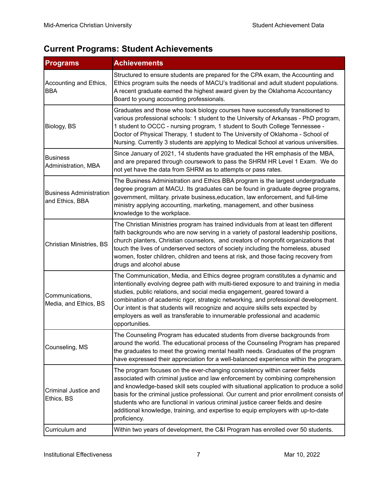# **Current Programs: Student Achievements**

| <b>Programs</b>                                   | <b>Achievements</b>                                                                                                                                                                                                                                                                                                                                                                                                                                                                                                                         |
|---------------------------------------------------|---------------------------------------------------------------------------------------------------------------------------------------------------------------------------------------------------------------------------------------------------------------------------------------------------------------------------------------------------------------------------------------------------------------------------------------------------------------------------------------------------------------------------------------------|
| Accounting and Ethics,<br><b>BBA</b>              | Structured to ensure students are prepared for the CPA exam, the Accounting and<br>Ethics program suits the needs of MACU's traditional and adult student populations.<br>A recent graduate earned the highest award given by the Oklahoma Accountancy<br>Board to young accounting professionals.                                                                                                                                                                                                                                          |
| Biology, BS                                       | Graduates and those who took biology courses have successfully transitioned to<br>various professional schools: 1 student to the University of Arkansas - PhD program,<br>1 student to OCCC - nursing program, 1 student to South College Tennessee -<br>Doctor of Physical Therapy, 1 student to The University of Oklahoma - School of<br>Nursing. Currently 3 students are applying to Medical School at various universities.                                                                                                           |
| <b>Business</b><br>Administration, MBA            | Since January of 2021, 14 students have graduated the HR emphasis of the MBA,<br>and are prepared through coursework to pass the SHRM HR Level 1 Exam. We do<br>not yet have the data from SHRM as to attempts or pass rates.                                                                                                                                                                                                                                                                                                               |
| <b>Business Administration</b><br>and Ethics, BBA | The Business Administration and Ethics BBA program is the largest undergraduate<br>degree program at MACU. Its graduates can be found in graduate degree programs,<br>government, military. private business, education, law enforcement, and full-time<br>ministry applying accounting, marketing, management, and other business<br>knowledge to the workplace.                                                                                                                                                                           |
| <b>Christian Ministries, BS</b>                   | The Christian Ministries program has trained individuals from at least ten different<br>faith backgrounds who are now serving in a variety of pastoral leadership positions,<br>church planters, Christian counselors, and creators of nonprofit organizations that<br>touch the lives of underserved sectors of society including the homeless, abused<br>women, foster children, children and teens at risk, and those facing recovery from<br>drugs and alcohol abuse                                                                    |
| Communications,<br>Media, and Ethics, BS          | The Communication, Media, and Ethics degree program constitutes a dynamic and<br>intentionally evolving degree path with multi-tiered exposure to and training in media<br>studies, public relations, and social media engagement, geared toward a<br>combination of academic rigor, strategic networking, and professional development.<br>Our intent is that students will recognize and acquire skills sets expected by<br>employers as well as transferable to innumerable professional and academic<br>opportunities.                  |
| Counseling, MS                                    | The Counseling Program has educated students from diverse backgrounds from<br>around the world. The educational process of the Counseling Program has prepared<br>the graduates to meet the growing mental health needs. Graduates of the program<br>have expressed their appreciation for a well-balanced experience within the program.                                                                                                                                                                                                   |
| Criminal Justice and<br>Ethics, BS                | The program focuses on the ever-changing consistency within career fields<br>associated with criminal justice and law enforcement by combining comprehension<br>and knowledge-based skill sets coupled with situational application to produce a solid<br>basis for the criminal justice professional. Our current and prior enrollment consists of<br>students who are functional in various criminal justice career fields and desire<br>additional knowledge, training, and expertise to equip employers with up-to-date<br>proficiency. |
| Curriculum and                                    | Within two years of development, the C&I Program has enrolled over 50 students.                                                                                                                                                                                                                                                                                                                                                                                                                                                             |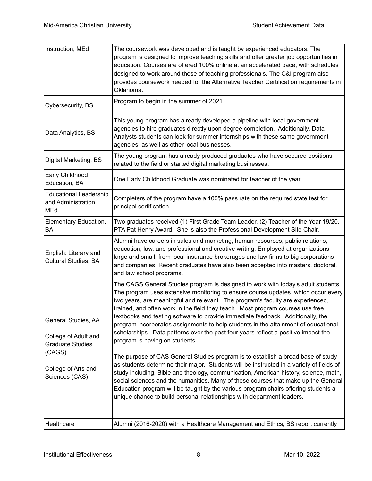| Instruction, MEd                                                                                                          | The coursework was developed and is taught by experienced educators. The<br>program is designed to improve teaching skills and offer greater job opportunities in<br>education. Courses are offered 100% online at an accelerated pace, with schedules<br>designed to work around those of teaching professionals. The C&I program also<br>provides coursework needed for the Alternative Teacher Certification requirements in<br>Oklahoma.                                                                                                                                                                                                                                                                                                                                                                                                                                                                                                                                                                                                                                                                                                                              |
|---------------------------------------------------------------------------------------------------------------------------|---------------------------------------------------------------------------------------------------------------------------------------------------------------------------------------------------------------------------------------------------------------------------------------------------------------------------------------------------------------------------------------------------------------------------------------------------------------------------------------------------------------------------------------------------------------------------------------------------------------------------------------------------------------------------------------------------------------------------------------------------------------------------------------------------------------------------------------------------------------------------------------------------------------------------------------------------------------------------------------------------------------------------------------------------------------------------------------------------------------------------------------------------------------------------|
| Cybersecurity, BS                                                                                                         | Program to begin in the summer of 2021.                                                                                                                                                                                                                                                                                                                                                                                                                                                                                                                                                                                                                                                                                                                                                                                                                                                                                                                                                                                                                                                                                                                                   |
| Data Analytics, BS                                                                                                        | This young program has already developed a pipeline with local government<br>agencies to hire graduates directly upon degree completion. Additionally, Data<br>Analysts students can look for summer internships with these same government<br>agencies, as well as other local businesses.                                                                                                                                                                                                                                                                                                                                                                                                                                                                                                                                                                                                                                                                                                                                                                                                                                                                               |
| Digital Marketing, BS                                                                                                     | The young program has already produced graduates who have secured positions<br>related to the field or started digital marketing businesses.                                                                                                                                                                                                                                                                                                                                                                                                                                                                                                                                                                                                                                                                                                                                                                                                                                                                                                                                                                                                                              |
| Early Childhood<br>Education, BA                                                                                          | One Early Childhood Graduate was nominated for teacher of the year.                                                                                                                                                                                                                                                                                                                                                                                                                                                                                                                                                                                                                                                                                                                                                                                                                                                                                                                                                                                                                                                                                                       |
| Educational Leadership<br>and Administration,<br><b>MEd</b>                                                               | Completers of the program have a 100% pass rate on the required state test for<br>principal certification.                                                                                                                                                                                                                                                                                                                                                                                                                                                                                                                                                                                                                                                                                                                                                                                                                                                                                                                                                                                                                                                                |
| Elementary Education,<br><b>BA</b>                                                                                        | Two graduates received (1) First Grade Team Leader, (2) Teacher of the Year 19/20,<br>PTA Pat Henry Award. She is also the Professional Development Site Chair.                                                                                                                                                                                                                                                                                                                                                                                                                                                                                                                                                                                                                                                                                                                                                                                                                                                                                                                                                                                                           |
| English: Literary and<br>Cultural Studies, BA                                                                             | Alumni have careers in sales and marketing, human resources, public relations,<br>education, law, and professional and creative writing. Employed at organizations<br>large and small, from local insurance brokerages and law firms to big corporations<br>and companies. Recent graduates have also been accepted into masters, doctoral,<br>and law school programs.                                                                                                                                                                                                                                                                                                                                                                                                                                                                                                                                                                                                                                                                                                                                                                                                   |
| General Studies, AA<br>College of Adult and<br><b>Graduate Studies</b><br>(CAGS)<br>College of Arts and<br>Sciences (CAS) | The CAGS General Studies program is designed to work with today's adult students.<br>The program uses extensive monitoring to ensure course updates, which occur every<br>two years, are meaningful and relevant. The program's faculty are experienced,<br>trained, and often work in the field they teach. Most program courses use free<br>textbooks and testing software to provide immediate feedback. Additionally, the<br>program incorporates assignments to help students in the attainment of educational<br>scholarships. Data patterns over the past four years reflect a positive impact the<br>program is having on students.<br>The purpose of CAS General Studies program is to establish a broad base of study<br>as students determine their major. Students will be instructed in a variety of fields of<br>study including, Bible and theology, communication, American history, science, math,<br>social sciences and the humanities. Many of these courses that make up the General<br>Education program will be taught by the various program chairs offering students a<br>unique chance to build personal relationships with department leaders. |
| Healthcare                                                                                                                | Alumni (2016-2020) with a Healthcare Management and Ethics, BS report currently                                                                                                                                                                                                                                                                                                                                                                                                                                                                                                                                                                                                                                                                                                                                                                                                                                                                                                                                                                                                                                                                                           |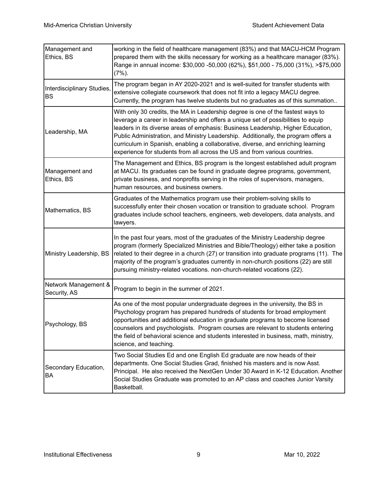| Management and<br>Ethics, BS            | working in the field of healthcare management (83%) and that MACU-HCM Program<br>prepared them with the skills necessary for working as a healthcare manager (83%).<br>Range in annual income: \$30,000 -50,000 (62%), \$51,000 - 75,000 (31%), >\$75,000<br>$(7%)$ .                                                                                                                                                                                                                                            |
|-----------------------------------------|------------------------------------------------------------------------------------------------------------------------------------------------------------------------------------------------------------------------------------------------------------------------------------------------------------------------------------------------------------------------------------------------------------------------------------------------------------------------------------------------------------------|
| Interdisciplinary Studies,<br><b>BS</b> | The program began in AY 2020-2021 and is well-suited for transfer students with<br>extensive collegiate coursework that does not fit into a legacy MACU degree.<br>Currently, the program has twelve students but no graduates as of this summation                                                                                                                                                                                                                                                              |
| Leadership, MA                          | With only 30 credits, the MA in Leadership degree is one of the fastest ways to<br>leverage a career in leadership and offers a unique set of possibilities to equip<br>leaders in its diverse areas of emphasis: Business Leadership, Higher Education,<br>Public Administration, and Ministry Leadership. Additionally, the program offers a<br>curriculum in Spanish, enabling a collaborative, diverse, and enriching learning<br>experience for students from all across the US and from various countries. |
| Management and<br>Ethics, BS            | The Management and Ethics, BS program is the longest established adult program<br>at MACU. Its graduates can be found in graduate degree programs, government,<br>private business, and nonprofits serving in the roles of supervisors, managers,<br>human resources, and business owners.                                                                                                                                                                                                                       |
| Mathematics, BS                         | Graduates of the Mathematics program use their problem-solving skills to<br>successfully enter their chosen vocation or transition to graduate school. Program<br>graduates include school teachers, engineers, web developers, data analysts, and<br>lawyers.                                                                                                                                                                                                                                                   |
| Ministry Leadership, BS                 | In the past four years, most of the graduates of the Ministry Leadership degree<br>program (formerly Specialized Ministries and Bible/Theology) either take a position<br>related to their degree in a church (27) or transition into graduate programs (11). The<br>majority of the program's graduates currently in non-church positions (22) are still<br>pursuing ministry-related vocations. non-church-related vocations (22).                                                                             |
| Network Management &<br>Security, AS    | Program to begin in the summer of 2021.                                                                                                                                                                                                                                                                                                                                                                                                                                                                          |
| Psychology, BS                          | As one of the most popular undergraduate degrees in the university, the BS in<br>Psychology program has prepared hundreds of students for broad employment<br>opportunities and additional education in graduate programs to become licensed<br>counselors and psychologists. Program courses are relevant to students entering<br>the field of behavioral science and students interested in business, math, ministry,<br>science, and teaching.                                                                |
| Secondary Education,<br>BA              | Two Social Studies Ed and one English Ed graduate are now heads of their<br>departments. One Social Studies Grad, finished his masters and is now Asst.<br>Principal. He also received the NextGen Under 30 Award in K-12 Education. Another<br>Social Studies Graduate was promoted to an AP class and coaches Junior Varsity<br>Basketball.                                                                                                                                                                    |